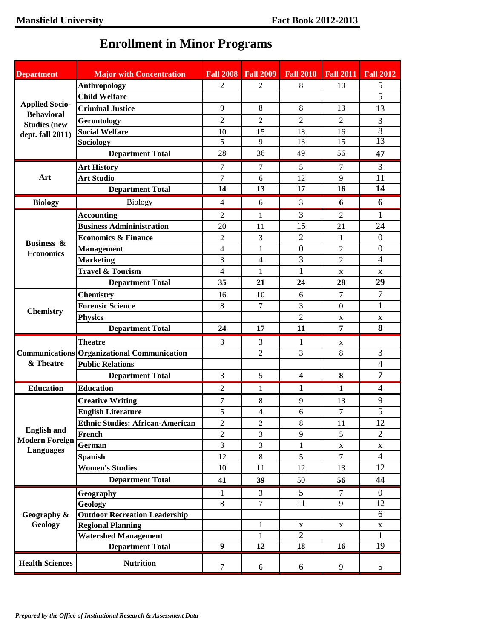| <b>Department</b>                                               | <b>Major with Concentration</b>                    | <b>Fall 2008</b> | <b>Fall 2009</b> | <b>Fall 2010</b>        | <b>Fall 2011</b> | <b>Fall 2012</b> |
|-----------------------------------------------------------------|----------------------------------------------------|------------------|------------------|-------------------------|------------------|------------------|
|                                                                 | <b>Anthropology</b>                                | $\overline{2}$   | $\overline{c}$   | 8                       | 10               | 5                |
|                                                                 | <b>Child Welfare</b>                               |                  |                  |                         |                  | 5                |
| <b>Applied Socio-</b><br><b>Behavioral</b>                      | <b>Criminal Justice</b>                            | 9                | 8                | 8                       | 13               | 13               |
| <b>Studies (new</b><br>dept. fall 2011)                         | Gerontology                                        | $\overline{c}$   | 2                | 2                       | $\overline{2}$   | 3                |
|                                                                 | <b>Social Welfare</b>                              | 10               | 15               | 18                      | 16               | $\overline{8}$   |
|                                                                 | Sociology                                          | 5                | 9                | 13                      | 15               | 13               |
|                                                                 | <b>Department Total</b>                            | 28               | 36               | 49                      | 56               | 47               |
| Art                                                             | <b>Art History</b>                                 | $\tau$           | 7                | 5                       | 7                | 3                |
|                                                                 | <b>Art Studio</b>                                  | 7                | 6                | 12                      | 9                | 11               |
|                                                                 | <b>Department Total</b>                            | 14               | 13               | 17                      | 16               | 14               |
| <b>Biology</b>                                                  | <b>Biology</b>                                     | 4                | 6                | 3                       | 6                | 6                |
| <b>Business &amp;</b><br><b>Economics</b>                       | <b>Accounting</b>                                  | $\overline{2}$   | 1                | 3                       | 2                | 1                |
|                                                                 | <b>Business Admininistration</b>                   | 20               | 11               | 15                      | 21               | 24               |
|                                                                 | <b>Economics &amp; Finance</b>                     | $\mathfrak{2}$   | 3                | $\overline{2}$          | 1                | $\boldsymbol{0}$ |
|                                                                 | <b>Management</b>                                  | $\overline{4}$   | 1                | $\mathbf{0}$            | $\overline{c}$   | $\overline{0}$   |
|                                                                 | <b>Marketing</b>                                   | 3                | 4                | 3                       | $\overline{2}$   | $\overline{4}$   |
|                                                                 | <b>Travel &amp; Tourism</b>                        | 4                | 1                | $\mathbf{1}$            | X                | X                |
|                                                                 | <b>Department Total</b>                            | 35               | 21               | 24                      | 28               | 29               |
|                                                                 | <b>Chemistry</b>                                   | 16               | 10               | 6                       | 7                | 7                |
| <b>Chemistry</b>                                                | <b>Forensic Science</b>                            | 8                | $\tau$           | 3                       | $\Omega$         | 1                |
|                                                                 | <b>Physics</b>                                     |                  |                  | 2                       | X                | X                |
|                                                                 | <b>Department Total</b>                            | 24               | 17               | 11                      | 7                | 8                |
| & Theatre                                                       | <b>Theatre</b>                                     | 3                | 3                | 1                       | X                |                  |
|                                                                 | <b>Communications Organizational Communication</b> |                  | $\overline{2}$   | 3                       | 8                | 3                |
|                                                                 | <b>Public Relations</b>                            |                  |                  |                         |                  | $\overline{4}$   |
|                                                                 | <b>Department Total</b>                            | 3                | 5                | $\overline{\mathbf{4}}$ | 8                | $\overline{7}$   |
| <b>Education</b>                                                | <b>Education</b>                                   | 2                | 1                | 1                       | 1                | $\overline{4}$   |
| <b>English and</b><br><b>Modern Foreign</b><br><b>Languages</b> | <b>Creative Writing</b>                            | 7                | 8                | 9                       | 13               | 9                |
|                                                                 | <b>English Literature</b>                          | 5                | $\overline{4}$   | 6                       | $\tau$           | 5                |
|                                                                 | <b>Ethnic Studies: African-American</b>            | $\boldsymbol{2}$ | $\sqrt{2}$       | $\,8\,$                 | 11               | 12               |
|                                                                 | French                                             | $\overline{2}$   | 3                | 9                       | 5                | $\overline{2}$   |
|                                                                 | German                                             | $\overline{3}$   | 3                | $\mathbf{1}$            | X                | X                |
|                                                                 | <b>Spanish</b>                                     | 12               | $8\,$            | 5                       | $\overline{7}$   | $\overline{4}$   |
|                                                                 | <b>Women's Studies</b>                             | 10               | 11               | 12                      | 13               | 12               |
|                                                                 | <b>Department Total</b>                            | 41               | 39               | 50                      | 56               | 44               |
|                                                                 | Geography                                          | 1                | 3                | 5                       | 7                | $\overline{0}$   |
| Geography &<br>Geology                                          | <b>Geology</b>                                     | 8                | $\overline{7}$   | $\overline{11}$         | 9                | $\overline{12}$  |
|                                                                 | <b>Outdoor Recreation Leadership</b>               |                  |                  |                         |                  | 6                |
|                                                                 | <b>Regional Planning</b>                           |                  | $\mathbf{1}$     | $\mathbf X$             | X                | $\mathbf X$      |
|                                                                 | <b>Watershed Management</b>                        | 9                | 1<br>12          | $\overline{2}$<br>18    | 16               | 1<br>19          |
|                                                                 | <b>Department Total</b>                            |                  |                  |                         |                  |                  |
| <b>Health Sciences</b>                                          | <b>Nutrition</b>                                   | $\tau$           | 6                | 6                       | 9                | 5                |

## **Enrollment in Minor Programs**